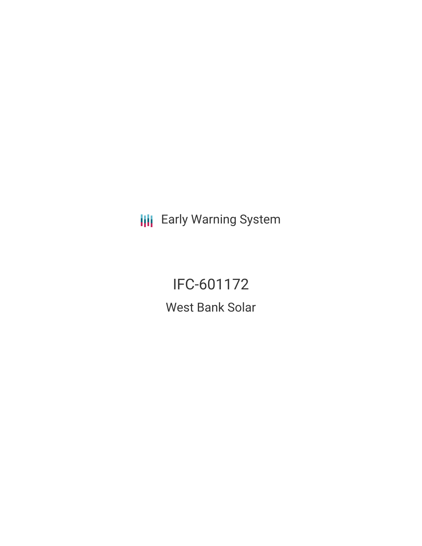**III** Early Warning System

# IFC-601172 West Bank Solar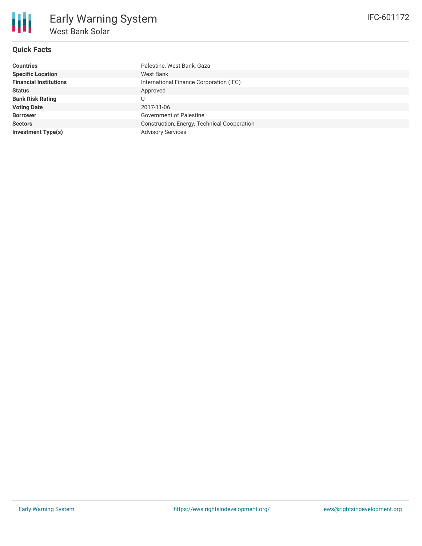## **Quick Facts**

| <b>Countries</b>              | Palestine, West Bank, Gaza                  |
|-------------------------------|---------------------------------------------|
| <b>Specific Location</b>      | West Bank                                   |
| <b>Financial Institutions</b> | International Finance Corporation (IFC)     |
| Status                        | Approved                                    |
| <b>Bank Risk Rating</b>       |                                             |
| <b>Voting Date</b>            | 2017-11-06                                  |
| <b>Borrower</b>               | <b>Government of Palestine</b>              |
| <b>Sectors</b>                | Construction, Energy, Technical Cooperation |
| Investment Type(s)            | <b>Advisory Services</b>                    |
|                               |                                             |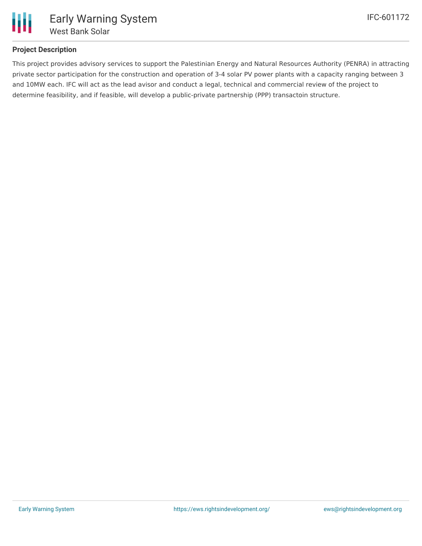

### **Project Description**

This project provides advisory services to support the Palestinian Energy and Natural Resources Authority (PENRA) in attracting private sector participation for the construction and operation of 3-4 solar PV power plants with a capacity ranging between 3 and 10MW each. IFC will act as the lead avisor and conduct a legal, technical and commercial review of the project to determine feasibility, and if feasible, will develop a public-private partnership (PPP) transactoin structure.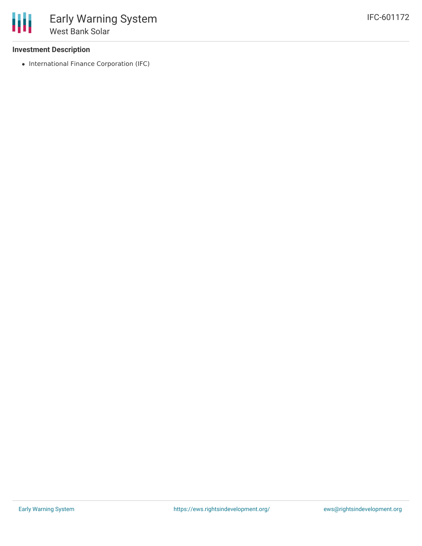#### **Investment Description**

• International Finance Corporation (IFC)